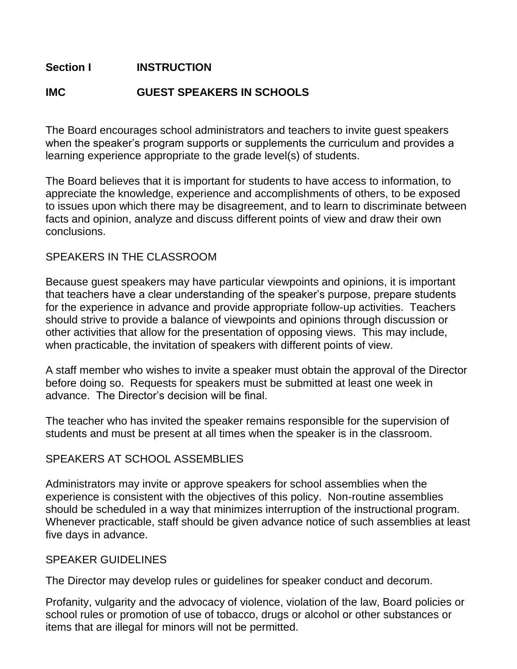# **Section I INSTRUCTION**

# **IMC GUEST SPEAKERS IN SCHOOLS**

The Board encourages school administrators and teachers to invite guest speakers when the speaker's program supports or supplements the curriculum and provides a learning experience appropriate to the grade level(s) of students.

The Board believes that it is important for students to have access to information, to appreciate the knowledge, experience and accomplishments of others, to be exposed to issues upon which there may be disagreement, and to learn to discriminate between facts and opinion, analyze and discuss different points of view and draw their own conclusions.

### SPEAKERS IN THE CLASSROOM

Because guest speakers may have particular viewpoints and opinions, it is important that teachers have a clear understanding of the speaker's purpose, prepare students for the experience in advance and provide appropriate follow-up activities. Teachers should strive to provide a balance of viewpoints and opinions through discussion or other activities that allow for the presentation of opposing views. This may include, when practicable, the invitation of speakers with different points of view.

A staff member who wishes to invite a speaker must obtain the approval of the Director before doing so. Requests for speakers must be submitted at least one week in advance. The Director's decision will be final.

The teacher who has invited the speaker remains responsible for the supervision of students and must be present at all times when the speaker is in the classroom.

### SPEAKERS AT SCHOOL ASSEMBLIES

Administrators may invite or approve speakers for school assemblies when the experience is consistent with the objectives of this policy. Non-routine assemblies should be scheduled in a way that minimizes interruption of the instructional program. Whenever practicable, staff should be given advance notice of such assemblies at least five days in advance.

#### SPEAKER GUIDELINES

The Director may develop rules or guidelines for speaker conduct and decorum.

Profanity, vulgarity and the advocacy of violence, violation of the law, Board policies or school rules or promotion of use of tobacco, drugs or alcohol or other substances or items that are illegal for minors will not be permitted.